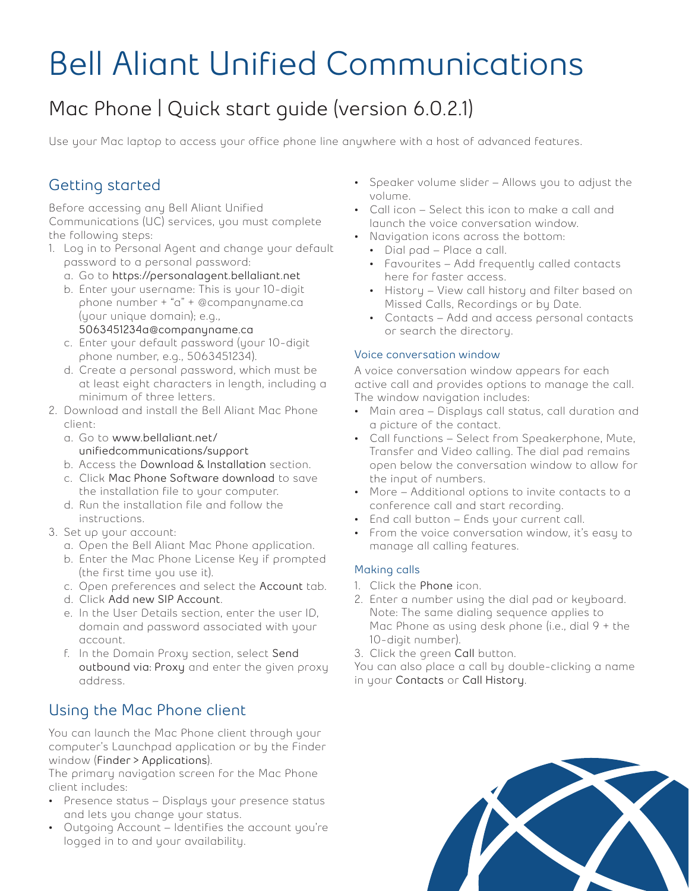## **Bell Aliant Unified Communications**

### **Mac Phone | Quick start guide (version 6.0.2.1)**

Use your Mac laptop to access your office phone line anywhere with a host of advanced features.

#### **Getting started**

Before accessing any Bell Aliant Unified Communications (UC) services, you must complete the following steps:

- 1. Log in to Personal Agent and change your default password to a personal password:
	- a. Go to **<https://personalagent.bellaliant.net>**
	- b. Enter your username: This is your 10-digit phone number + "a" + @companyname.ca (your unique domain); e.g., **5063451234a@companyname.ca**
	- c. Enter your default password (your 10-digit phone number, e.g., 5063451234).
	- d. Create a personal password, which must be at least eight characters in length, including a minimum of three letters.
- 2. Download and install the Bell Aliant Mac Phone client:
	- a. Go to **[www.bellaliant.net/](www.bellaliant.net/unifiedcommunications/support) [unifiedcommunications/support](www.bellaliant.net/unifiedcommunications/support)**
	- b. Access the **Download & Installation** section.
	- c. Click **Mac Phone Software download** to save the installation file to your computer.
	- d. Run the installation file and follow the instructions.
- 3. Set up your account:
	- a. Open the Bell Aliant Mac Phone application.
	- b. Enter the Mac Phone License Key if prompted (the first time you use it).
	- c. Open preferences and select the **Account** tab.
	- d. Click **Add new SIP Account**.
	- e. In the User Details section, enter the user ID, domain and password associated with your account.
	- f. In the Domain Proxy section, select **Send outbound via: Proxy** and enter the given proxy address.

#### **Using the Mac Phone client**

You can launch the Mac Phone client through your computer's Launchpad application or by the Finder window (**Finder > Applications**).

The primary navigation screen for the Mac Phone client includes:

- Presence status Displays your presence status and lets you change your status.
- Outgoing Account Identifies the account you're logged in to and your availability.
- Speaker volume slider Allows you to adjust the volume.
- Call icon Select this icon to make a call and launch the voice conversation window.
- Navigation icons across the bottom:
	- Dial pad Place a call.
	- Favourites Add frequently called contacts here for faster access.
	- History View call history and filter based on Missed Calls, Recordings or by Date.
	- Contacts Add and access personal contacts or search the directory.

#### **Voice conversation window**

A voice conversation window appears for each active call and provides options to manage the call. The window navigation includes:

- Main area Displays call status, call duration and a picture of the contact.
- Call functions Select from Speakerphone, Mute, Transfer and Video calling. The dial pad remains open below the conversation window to allow for the input of numbers.
- More Additional options to invite contacts to a conference call and start recording.
- End call button Ends your current call.
- From the voice conversation window, it's easy to manage all calling features.

#### **Making calls**

- 1. Click the **Phone** icon.
- 2. Enter a number using the dial pad or keyboard. Note: The same dialing sequence applies to Mac Phone as using desk phone (i.e., dial 9 + the 10-digit number).
- 3. Click the green **Call** button.

You can also place a call by double-clicking a name in your **Contacts** or **Call History**.